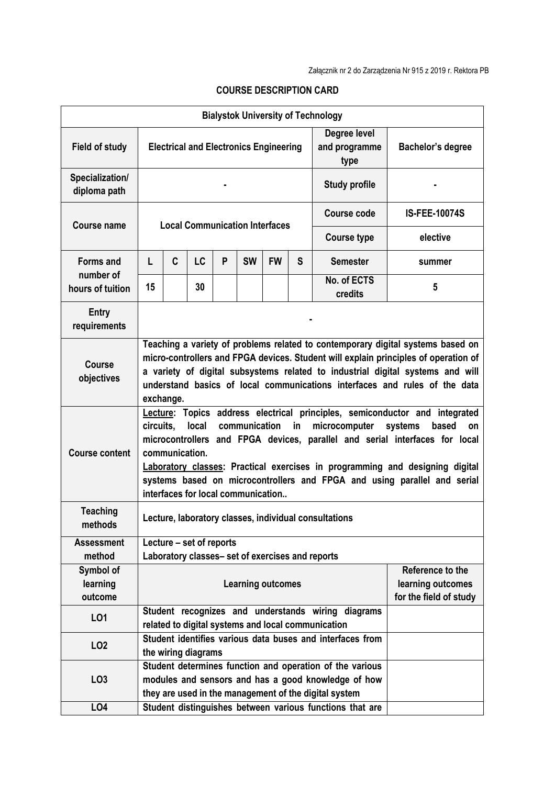|                                  |                                                                                                                                                                                                                                                                                                                                                                                                                                                                        |              |                          |   |           |           |                      | <b>Bialystok University of Technology</b>                                                                |                      |
|----------------------------------|------------------------------------------------------------------------------------------------------------------------------------------------------------------------------------------------------------------------------------------------------------------------------------------------------------------------------------------------------------------------------------------------------------------------------------------------------------------------|--------------|--------------------------|---|-----------|-----------|----------------------|----------------------------------------------------------------------------------------------------------|----------------------|
| <b>Field of study</b>            | <b>Electrical and Electronics Engineering</b>                                                                                                                                                                                                                                                                                                                                                                                                                          |              |                          |   |           |           |                      | Degree level<br>and programme<br>type                                                                    | Bachelor's degree    |
| Specialization/<br>diploma path  |                                                                                                                                                                                                                                                                                                                                                                                                                                                                        |              |                          |   |           |           | <b>Study profile</b> |                                                                                                          |                      |
| <b>Course name</b>               | <b>Local Communication Interfaces</b>                                                                                                                                                                                                                                                                                                                                                                                                                                  |              |                          |   |           |           |                      | <b>Course code</b>                                                                                       | <b>IS-FEE-10074S</b> |
|                                  |                                                                                                                                                                                                                                                                                                                                                                                                                                                                        |              |                          |   |           |           |                      | <b>Course type</b>                                                                                       | elective             |
| <b>Forms and</b>                 | L                                                                                                                                                                                                                                                                                                                                                                                                                                                                      | $\mathbf{C}$ | LC                       | P | <b>SW</b> | <b>FW</b> | S                    | <b>Semester</b>                                                                                          | summer               |
| number of<br>hours of tuition    | 15                                                                                                                                                                                                                                                                                                                                                                                                                                                                     |              | 30                       |   |           |           |                      | No. of ECTS<br>credits                                                                                   | 5                    |
| <b>Entry</b><br>requirements     |                                                                                                                                                                                                                                                                                                                                                                                                                                                                        |              |                          |   |           |           |                      |                                                                                                          |                      |
| <b>Course</b><br>objectives      | Teaching a variety of problems related to contemporary digital systems based on<br>micro-controllers and FPGA devices. Student will explain principles of operation of<br>a variety of digital subsystems related to industrial digital systems and will<br>understand basics of local communications interfaces and rules of the data<br>exchange.                                                                                                                    |              |                          |   |           |           |                      |                                                                                                          |                      |
| <b>Course content</b>            | Lecture: Topics address electrical principles, semiconductor and integrated<br>circuits,<br>communication<br>in<br>microcomputer<br>local<br>systems<br>based<br>on<br>microcontrollers and FPGA devices, parallel and serial interfaces for local<br>communication.<br>Laboratory classes: Practical exercises in programming and designing digital<br>systems based on microcontrollers and FPGA and using parallel and serial<br>interfaces for local communication |              |                          |   |           |           |                      |                                                                                                          |                      |
| <b>Teaching</b><br>methods       |                                                                                                                                                                                                                                                                                                                                                                                                                                                                        |              |                          |   |           |           |                      | Lecture, laboratory classes, individual consultations                                                    |                      |
| <b>Assessment</b>                |                                                                                                                                                                                                                                                                                                                                                                                                                                                                        |              | Lecture - set of reports |   |           |           |                      |                                                                                                          |                      |
| method                           |                                                                                                                                                                                                                                                                                                                                                                                                                                                                        |              |                          |   |           |           |                      | Laboratory classes- set of exercises and reports                                                         |                      |
| Symbol of<br>learning<br>outcome | Reference to the<br>learning outcomes<br><b>Learning outcomes</b><br>for the field of study                                                                                                                                                                                                                                                                                                                                                                            |              |                          |   |           |           |                      |                                                                                                          |                      |
| LO1                              |                                                                                                                                                                                                                                                                                                                                                                                                                                                                        |              |                          |   |           |           |                      | Student recognizes and understands wiring diagrams<br>related to digital systems and local communication |                      |
| LO <sub>2</sub>                  |                                                                                                                                                                                                                                                                                                                                                                                                                                                                        |              | the wiring diagrams      |   |           |           |                      | Student identifies various data buses and interfaces from                                                |                      |
| LO <sub>3</sub>                  | Student determines function and operation of the various<br>modules and sensors and has a good knowledge of how<br>they are used in the management of the digital system                                                                                                                                                                                                                                                                                               |              |                          |   |           |           |                      |                                                                                                          |                      |
| LO <sub>4</sub>                  |                                                                                                                                                                                                                                                                                                                                                                                                                                                                        |              |                          |   |           |           |                      | Student distinguishes between various functions that are                                                 |                      |

## **COURSE DESCRIPTION CARD**